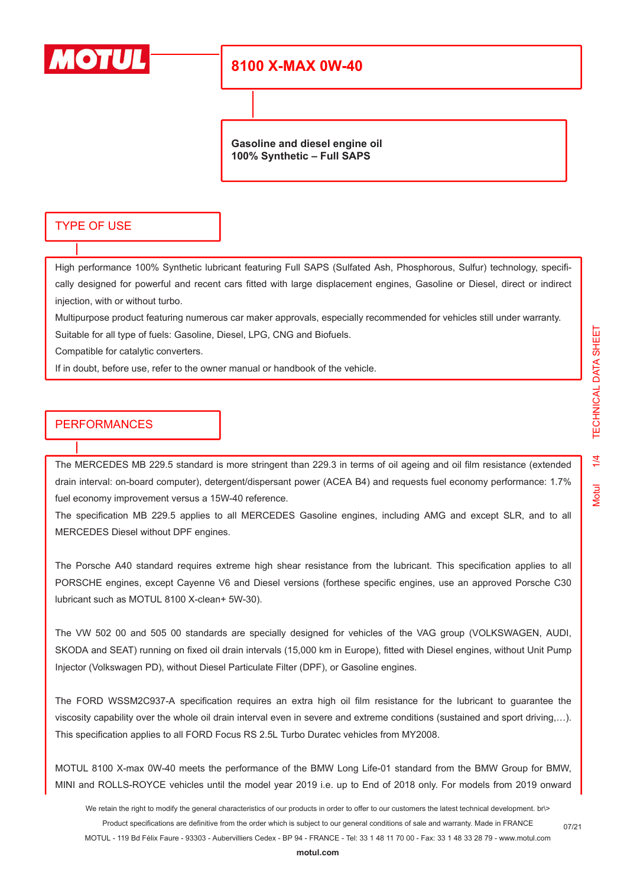

**Gasoline and diesel engine oil 100% Synthetic – Full SAPS**

#### TYPE OF USE

High performance 100% Synthetic lubricant featuring Full SAPS (Sulfated Ash, Phosphorous, Sulfur) technology, specifically designed for powerful and recent cars fitted with large displacement engines, Gasoline or Diesel, direct or indirect injection, with or without turbo.

Multipurpose product featuring numerous car maker approvals, especially recommended for vehicles still under warranty. Suitable for all type of fuels: Gasoline, Diesel, LPG, CNG and Biofuels.

Compatible for catalytic converters.

If in doubt, before use, refer to the owner manual or handbook of the vehicle.

#### **PERFORMANCES**

The MERCEDES MB 229.5 standard is more stringent than 229.3 in terms of oil ageing and oil film resistance (extended drain interval: on-board computer), detergent/dispersant power (ACEA B4) and requests fuel economy performance: 1.7% fuel economy improvement versus a 15W-40 reference.

The specification MB 229.5 applies to all MERCEDES Gasoline engines, including AMG and except SLR, and to all MERCEDES Diesel without DPF engines.

The Porsche A40 standard requires extreme high shear resistance from the lubricant. This specification applies to all PORSCHE engines, except Cayenne V6 and Diesel versions (forthese specific engines, use an approved Porsche C30 lubricant such as MOTUL 8100 X-clean+ 5W-30).

The VW 502 00 and 505 00 standards are specially designed for vehicles of the VAG group (VOLKSWAGEN, AUDI, SKODA and SEAT) running on fixed oil drain intervals (15,000 km in Europe), fitted with Diesel engines, without Unit Pump Injector (Volkswagen PD), without Diesel Particulate Filter (DPF), or Gasoline engines.

The FORD WSSM2C937-A specification requires an extra high oil film resistance for the lubricant to guarantee the viscosity capability over the whole oil drain interval even in severe and extreme conditions (sustained and sport driving,…). This specification applies to all FORD Focus RS 2.5L Turbo Duratec vehicles from MY2008.

MOTUL 8100 X-max 0W-40 meets the performance of the BMW Long Life-01 standard from the BMW Group for BMW, MINI and ROLLS-ROYCE vehicles until the model year 2019 i.e. up to End of 2018 only. For models from 2019 onward

We retain the right to modify the general characteristics of our products in order to offer to our customers the latest technical development. br\> Product specifications are definitive from the order which is subject to our general conditions of sale and warranty. Made in FRANCE

MOTUL - 119 Bd Félix Faure - 93303 - Aubervilliers Cedex - BP 94 - FRANCE - Tel: 33 1 48 11 70 00 - Fax: 33 1 48 33 28 79 - www.motul.com

**[motul.com](http://www.motul.com)**

**Motul**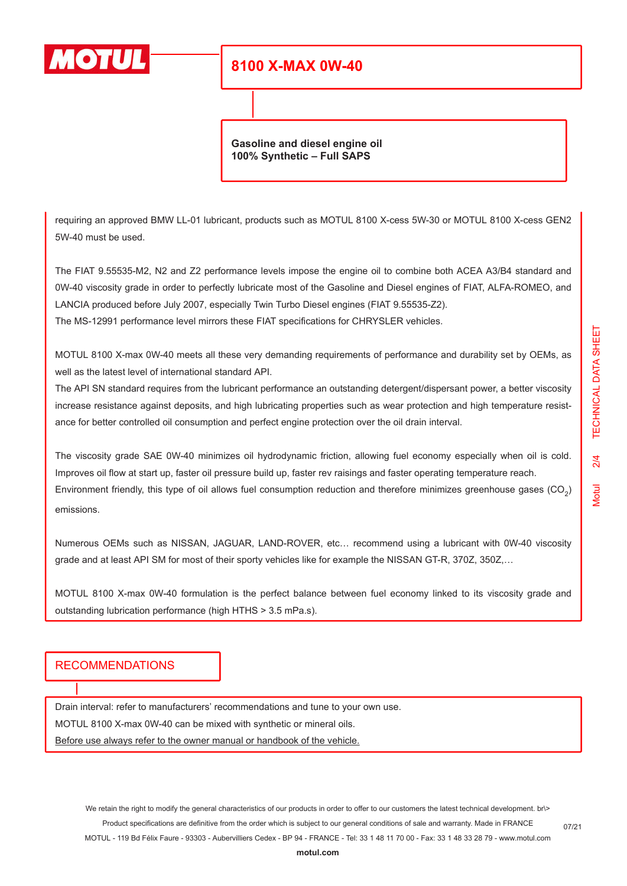

**Gasoline and diesel engine oil 100% Synthetic – Full SAPS**

requiring an approved BMW LL-01 lubricant, products such as MOTUL 8100 X-cess 5W-30 or MOTUL 8100 X-cess GEN2 5W-40 must be used.

The FIAT 9.55535-M2, N2 and Z2 performance levels impose the engine oil to combine both ACEA A3/B4 standard and 0W-40 viscosity grade in order to perfectly lubricate most of the Gasoline and Diesel engines of FIAT, ALFA-ROMEO, and LANCIA produced before July 2007, especially Twin Turbo Diesel engines (FIAT 9.55535-Z2).

The MS-12991 performance level mirrors these FIAT specifications for CHRYSLER vehicles.

MOTUL 8100 X-max 0W-40 meets all these very demanding requirements of performance and durability set by OEMs, as well as the latest level of international standard API.

The API SN standard requires from the lubricant performance an outstanding detergent/dispersant power, a better viscosity increase resistance against deposits, and high lubricating properties such as wear protection and high temperature resistance for better controlled oil consumption and perfect engine protection over the oil drain interval.

The viscosity grade SAE 0W-40 minimizes oil hydrodynamic friction, allowing fuel economy especially when oil is cold. Improves oil flow at start up, faster oil pressure build up, faster rev raisings and faster operating temperature reach. Environment friendly, this type of oil allows fuel consumption reduction and therefore minimizes greenhouse gases (CO<sub>2</sub>) emissions.

Numerous OEMs such as NISSAN, JAGUAR, LAND-ROVER, etc… recommend using a lubricant with 0W-40 viscosity grade and at least API SM for most of their sporty vehicles like for example the NISSAN GT-R, 370Z, 350Z,…

MOTUL 8100 X-max 0W-40 formulation is the perfect balance between fuel economy linked to its viscosity grade and outstanding lubrication performance (high HTHS > 3.5 mPa.s).

#### RECOMMENDATIONS

Drain interval: refer to manufacturers' recommendations and tune to your own use.

MOTUL 8100 X-max 0W-40 can be mixed with synthetic or mineral oils.

Before use always refer to the owner manual or handbook of the vehicle.

**[motul.com](http://www.motul.com)**

07/21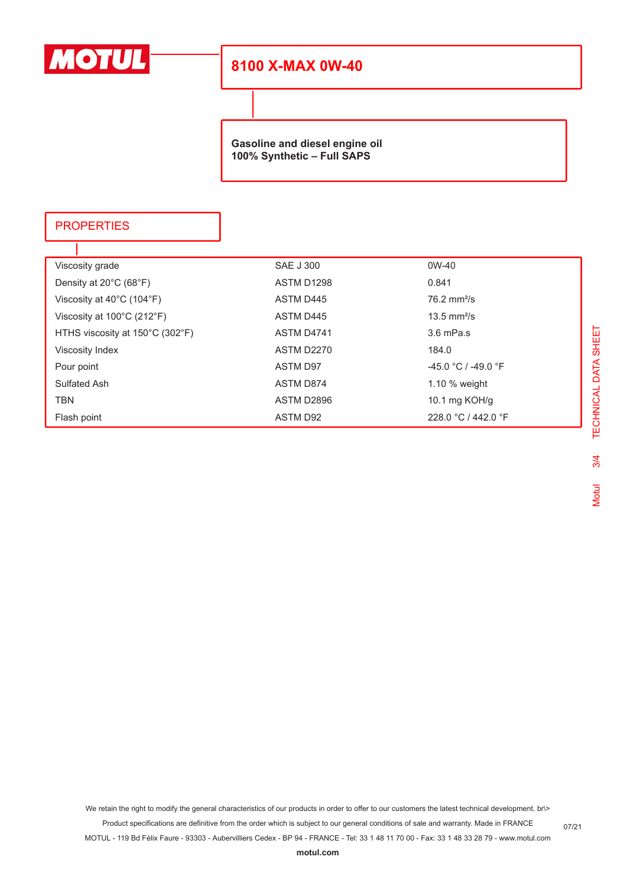

**Gasoline and diesel engine oil 100% Synthetic – Full SAPS**

### **PROPERTIES**

| Viscosity grade                                 | <b>SAE J 300</b>  | $0W-40$                      |
|-------------------------------------------------|-------------------|------------------------------|
| Density at $20^{\circ}$ C (68 $^{\circ}$ F)     | ASTM D1298        | 0.841                        |
| Viscosity at $40^{\circ}$ C (104 $^{\circ}$ F)  | ASTM D445         | $76.2 \text{ mm}^2/\text{s}$ |
| Viscosity at $100^{\circ}$ C (212 $^{\circ}$ F) | ASTM D445         | $13.5$ mm <sup>2</sup> /s    |
| HTHS viscosity at 150°C (302°F)                 | ASTM D4741        | $3.6$ mPa.s                  |
| Viscosity Index                                 | <b>ASTM D2270</b> | 184.0                        |
| Pour point                                      | <b>ASTM D97</b>   | $-45.0 °C / -49.0 °F$        |
| Sulfated Ash                                    | ASTM D874         | 1.10 $%$ weight              |
| <b>TBN</b>                                      | ASTM D2896        | 10.1 mg KOH/g                |
| Flash point                                     | ASTM D92          | 228.0 °C / 442.0 °F          |

We retain the right to modify the general characteristics of our products in order to offer to our customers the latest technical development. br\>

Product specifications are definitive from the order which is subject to our general conditions of sale and warranty. Made in FRANCE

MOTUL - 119 Bd Félix Faure - 93303 - Aubervilliers Cedex - BP 94 - FRANCE - Tel: 33 1 48 11 70 00 - Fax: 33 1 48 33 28 79 - www.motul.com

**[motul.com](http://www.motul.com)**

07/21